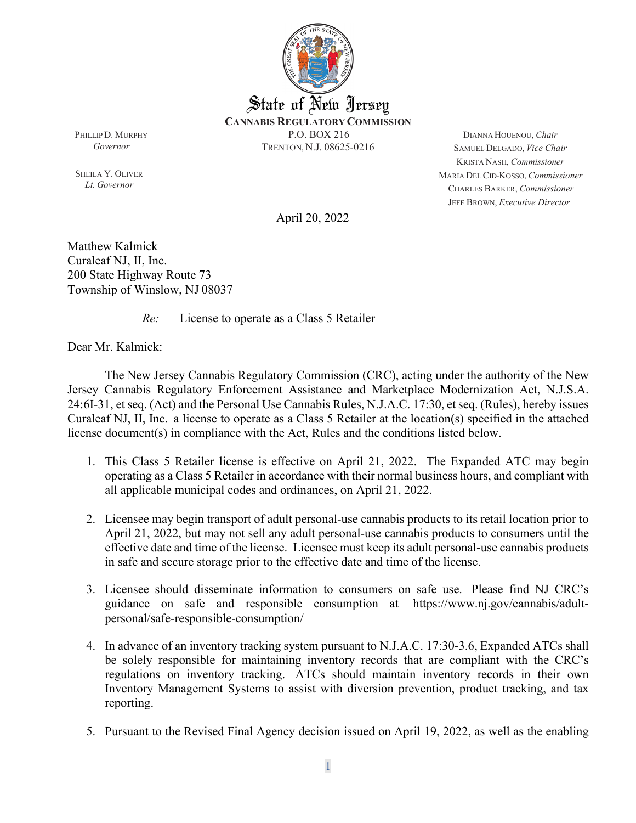

PHILLIPD. MURPHY *Governor*

SHEILA Y. OLIVER *Lt. Governor*

DIANNA HOUENOU, *Chair* SAMUEL DELGADO, *Vice Chair* KRISTA NASH, *Commissioner* MARIA DEL CID-KOSSO, *Commissioner* CHARLES BARKER, *Commissioner* JEFF BROWN, *Executive Director*

April 20, 2022

Matthew Kalmick Curaleaf NJ, II, Inc.  200 State Highway Route 73 Township of Winslow, NJ 08037

*Re:* License to operate as a Class 5 Retailer

Dear Mr. Kalmick:

The New Jersey Cannabis Regulatory Commission (CRC), acting under the authority of the New Jersey Cannabis Regulatory Enforcement Assistance and Marketplace Modernization Act, N.J.S.A. 24:6I-31, et seq. (Act) and the Personal Use Cannabis Rules, N.J.A.C. 17:30, et seq. (Rules), hereby issues Curaleaf NJ, II, Inc.  a license to operate as a Class 5 Retailer at the location(s) specified in the attached license document(s) in compliance with the Act, Rules and the conditions listed below.

- 1. This Class 5 Retailer license is effective on April 21, 2022. The Expanded ATC may begin operating as a Class 5 Retailer in accordance with their normal business hours, and compliant with all applicable municipal codes and ordinances, on April 21, 2022.
- 2. Licensee may begin transport of adult personal-use cannabis products to its retail location prior to April 21, 2022, but may not sell any adult personal-use cannabis products to consumers until the effective date and time of the license. Licensee must keep its adult personal-use cannabis products in safe and secure storage prior to the effective date and time of the license.
- 3. Licensee should disseminate information to consumers on safe use. Please find NJ CRC's guidance on safe and responsible consumption at [https://www.nj.gov/cannabis/adult](https://www.nj.gov/cannabis/adult-personal/safe-responsible-consumption/)[personal/safe-responsible-consumption/](https://www.nj.gov/cannabis/adult-personal/safe-responsible-consumption/)
- 4. In advance of an inventory tracking system pursuant to N.J.A.C. 17:30-3.6, Expanded ATCs shall be solely responsible for maintaining inventory records that are compliant with the CRC's regulations on inventory tracking. ATCs should maintain inventory records in their own Inventory Management Systems to assist with diversion prevention, product tracking, and tax reporting.
- 5. Pursuant to the Revised Final Agency decision issued on April 19, 2022, as well as the enabling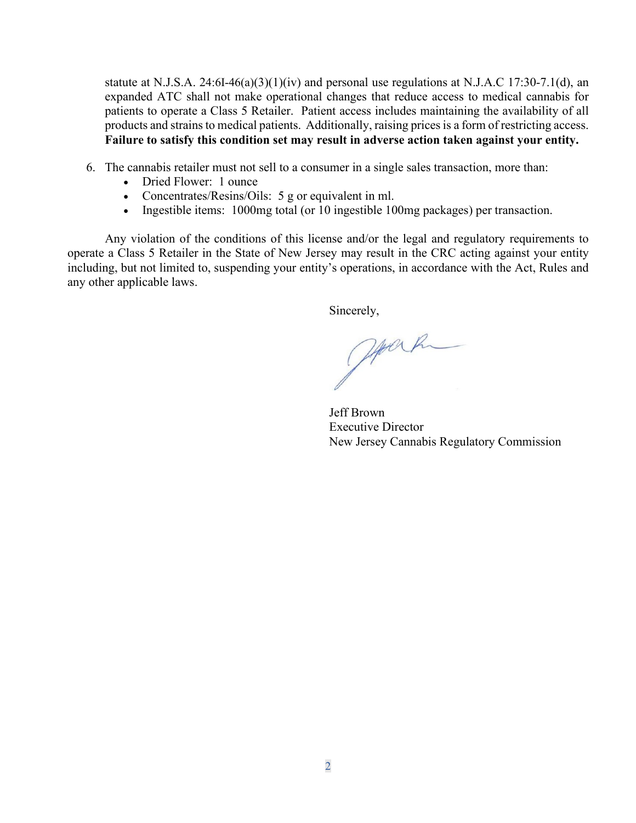statute at N.J.S.A. 24:6I-46(a)(3)(1)(iv) and personal use regulations at N.J.A.C 17:30-7.1(d), an expanded ATC shall not make operational changes that reduce access to medical cannabis for patients to operate a Class 5 Retailer. Patient access includes maintaining the availability of all products and strains to medical patients. Additionally, raising prices is a form of restricting access. **Failure to satisfy this condition set may result in adverse action taken against your entity.** 

- 6. The cannabis retailer must not sell to a consumer in a single sales transaction, more than:
	- Dried Flower: 1 ounce
	- Concentrates/Resins/Oils: 5 g or equivalent in ml.
	- Ingestible items: 1000mg total (or 10 ingestible 100mg packages) per transaction.

Any violation of the conditions of this license and/or the legal and regulatory requirements to operate a Class 5 Retailer in the State of New Jersey may result in the CRC acting against your entity including, but not limited to, suspending your entity's operations, in accordance with the Act, Rules and any other applicable laws.

Sincerely,

Journ

Jeff Brown Executive Director New Jersey Cannabis Regulatory Commission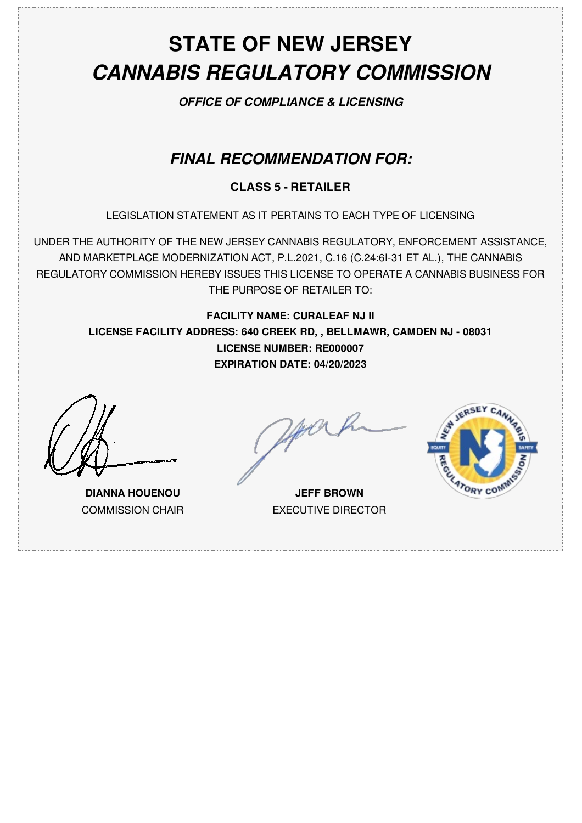# **STATE OF NEW JERSEY** *CANNABIS REGULATORY COMMISSION*

*OFFICE OF COMPLIANCE & LICENSING*

## *FINAL RECOMMENDATION FOR:*

### **CLASS 5 - RETAILER**

LEGISLATION STATEMENT AS IT PERTAINS TO EACH TYPE OF LICENSING

UNDER THE AUTHORITY OF THE NEW JERSEY CANNABIS REGULATORY, ENFORCEMENT ASSISTANCE, AND MARKETPLACE MODERNIZATION ACT, P.L.2021, C.16 (C.24:6I-31 ET AL.), THE CANNABIS REGULATORY COMMISSION HEREBY ISSUES THIS LICENSE TO OPERATE A CANNABIS BUSINESS FOR THE PURPOSE OF RETAILER TO:

**FACILITY NAME: CURALEAF NJ II LICENSE FACILITY ADDRESS: 640 CREEK RD, , BELLMAWR, CAMDEN NJ - 08031 LICENSE NUMBER: RE000007 EXPIRATION DATE: 04/20/2023**

**DIANNA HOUENOU** COMMISSION CHAIR

**JEFF BROWN** EXECUTIVE DIRECTOR